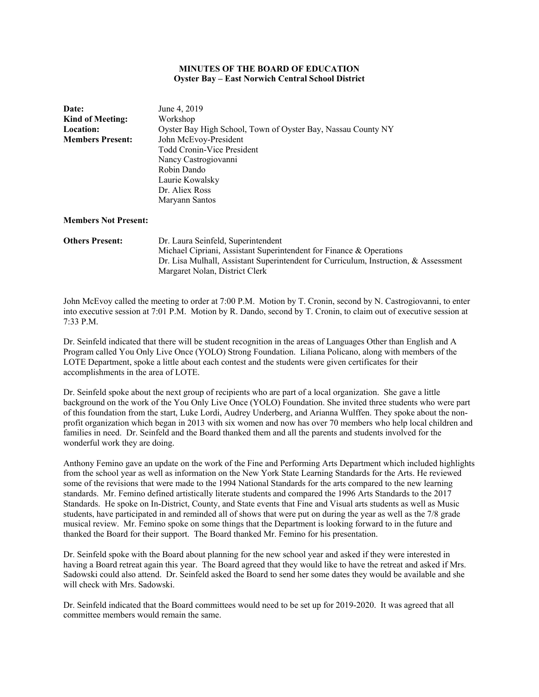## **MINUTES OF THE BOARD OF EDUCATION Oyster Bay – East Norwich Central School District**

| <b>Date:</b><br><b>Kind of Meeting:</b><br><b>Location:</b><br><b>Members Present:</b> | June 4, 2019<br>Workshop<br>Oyster Bay High School, Town of Oyster Bay, Nassau County NY<br>John McEvoy-President<br><b>Todd Cronin-Vice President</b><br>Nancy Castrogiovanni<br>Robin Dando<br>Laurie Kowalsky<br>Dr. Aliex Ross<br>Maryann Santos |  |
|----------------------------------------------------------------------------------------|------------------------------------------------------------------------------------------------------------------------------------------------------------------------------------------------------------------------------------------------------|--|
| <b>Members Not Present:</b><br><b>Others Present:</b>                                  | Dr. Laura Seinfeld, Superintendent                                                                                                                                                                                                                   |  |

 Michael Cipriani, Assistant Superintendent for Finance & Operations Dr. Lisa Mulhall, Assistant Superintendent for Curriculum, Instruction, & Assessment Margaret Nolan, District Clerk

John McEvoy called the meeting to order at 7:00 P.M. Motion by T. Cronin, second by N. Castrogiovanni, to enter into executive session at 7:01 P.M. Motion by R. Dando, second by T. Cronin, to claim out of executive session at 7:33 P.M.

Dr. Seinfeld indicated that there will be student recognition in the areas of Languages Other than English and A Program called You Only Live Once (YOLO) Strong Foundation. Liliana Policano, along with members of the LOTE Department, spoke a little about each contest and the students were given certificates for their accomplishments in the area of LOTE.

Dr. Seinfeld spoke about the next group of recipients who are part of a local organization. She gave a little background on the work of the You Only Live Once (YOLO) Foundation. She invited three students who were part of this foundation from the start, Luke Lordi, Audrey Underberg, and Arianna Wulffen. They spoke about the nonprofit organization which began in 2013 with six women and now has over 70 members who help local children and families in need. Dr. Seinfeld and the Board thanked them and all the parents and students involved for the wonderful work they are doing.

Anthony Femino gave an update on the work of the Fine and Performing Arts Department which included highlights from the school year as well as information on the New York State Learning Standards for the Arts. He reviewed some of the revisions that were made to the 1994 National Standards for the arts compared to the new learning standards. Mr. Femino defined artistically literate students and compared the 1996 Arts Standards to the 2017 Standards. He spoke on In-District, County, and State events that Fine and Visual arts students as well as Music students, have participated in and reminded all of shows that were put on during the year as well as the 7/8 grade musical review. Mr. Femino spoke on some things that the Department is looking forward to in the future and thanked the Board for their support. The Board thanked Mr. Femino for his presentation.

Dr. Seinfeld spoke with the Board about planning for the new school year and asked if they were interested in having a Board retreat again this year. The Board agreed that they would like to have the retreat and asked if Mrs. Sadowski could also attend. Dr. Seinfeld asked the Board to send her some dates they would be available and she will check with Mrs. Sadowski.

Dr. Seinfeld indicated that the Board committees would need to be set up for 2019-2020. It was agreed that all committee members would remain the same.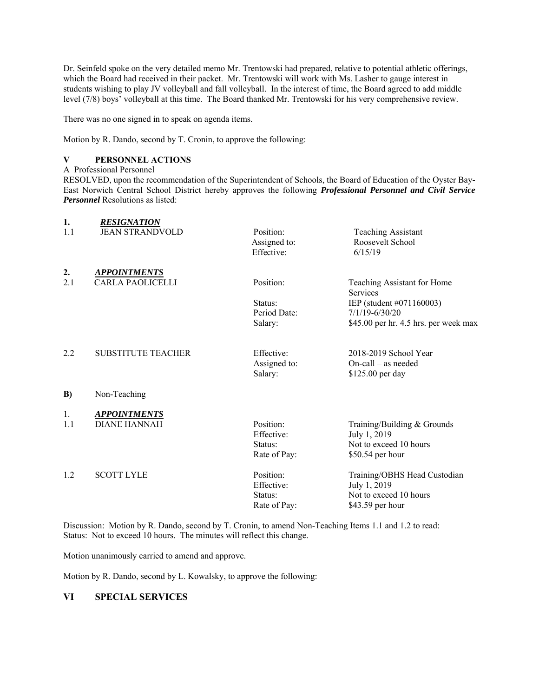Dr. Seinfeld spoke on the very detailed memo Mr. Trentowski had prepared, relative to potential athletic offerings, which the Board had received in their packet. Mr. Trentowski will work with Ms. Lasher to gauge interest in students wishing to play JV volleyball and fall volleyball. In the interest of time, the Board agreed to add middle level (7/8) boys' volleyball at this time. The Board thanked Mr. Trentowski for his very comprehensive review.

There was no one signed in to speak on agenda items.

Motion by R. Dando, second by T. Cronin, to approve the following:

## **V PERSONNEL ACTIONS**

A Professional Personnel

RESOLVED, upon the recommendation of the Superintendent of Schools, the Board of Education of the Oyster Bay-East Norwich Central School District hereby approves the following *Professional Personnel and Civil Service Personnel* Resolutions as listed:

| 1.  | <b>RESIGNATION</b>        |              |                                                |
|-----|---------------------------|--------------|------------------------------------------------|
| 1.1 | <b>JEAN STRANDVOLD</b>    | Position:    | <b>Teaching Assistant</b>                      |
|     |                           | Assigned to: | Roosevelt School                               |
|     |                           | Effective:   | 6/15/19                                        |
| 2.  | <b>APPOINTMENTS</b>       |              |                                                |
| 2.1 | <b>CARLA PAOLICELLI</b>   | Position:    | Teaching Assistant for Home<br><b>Services</b> |
|     |                           | Status:      | IEP (student #071160003)                       |
|     |                           | Period Date: | $7/1/19 - 6/30/20$                             |
|     |                           | Salary:      | \$45.00 per hr. 4.5 hrs. per week max          |
| 2.2 | <b>SUBSTITUTE TEACHER</b> | Effective:   | 2018-2019 School Year                          |
|     |                           | Assigned to: | $On-call - as needed$                          |
|     |                           | Salary:      | \$125.00 per day                               |
| B)  | Non-Teaching              |              |                                                |
| 1.  | <b>APPOINTMENTS</b>       |              |                                                |
| 1.1 | <b>DIANE HANNAH</b>       | Position:    | Training/Building & Grounds                    |
|     |                           | Effective:   | July 1, 2019                                   |
|     |                           | Status:      | Not to exceed 10 hours                         |
|     |                           | Rate of Pay: | \$50.54 per hour                               |
| 1.2 | <b>SCOTT LYLE</b>         | Position:    | Training/OBHS Head Custodian                   |
|     |                           | Effective:   | July 1, 2019                                   |
|     |                           | Status:      | Not to exceed 10 hours                         |
|     |                           | Rate of Pay: | \$43.59 per hour                               |

Discussion: Motion by R. Dando, second by T. Cronin, to amend Non-Teaching Items 1.1 and 1.2 to read: Status: Not to exceed 10 hours. The minutes will reflect this change.

Motion unanimously carried to amend and approve.

Motion by R. Dando, second by L. Kowalsky, to approve the following:

## **VI SPECIAL SERVICES**